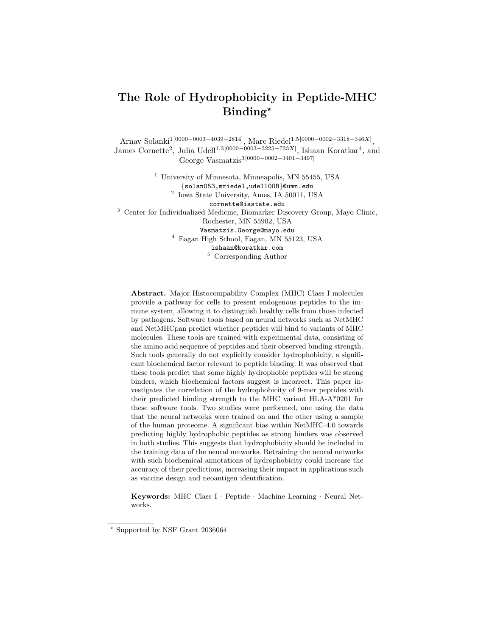# The Role of Hydrophobicity in Peptide-MHC Binding?

Arnav Solanki1[0000−0003−4039−2814], Marc Riedel1,5[0000−0002−3318−346X] , James Cornette<sup>2</sup>, Julia Udell<sup>1,3[0000–0003–3225–733X]</sup>, Ishaan Koratkar<sup>4</sup>, and George Vasmatzis3[0000−0002−3401−3497]

<sup>1</sup> University of Minnesota, Minneapolis, MN 55455, USA {solan053,mriedel,udell008}@umn.edu 2 Iowa State University, Ames, IA 50011, USA cornette@iastate.edu <sup>3</sup> Center for Individualized Medicine, Biomarker Discovery Group, Mayo Clinic, Rochester, MN 55902, USA Vasmatzis.George@mayo.edu <sup>4</sup> Eagan High School, Eagan, MN 55123, USA ishaan@koratkar.com <sup>5</sup> Corresponding Author

Abstract. Major Histocompability Complex (MHC) Class I molecules provide a pathway for cells to present endogenous peptides to the immune system, allowing it to distinguish healthy cells from those infected by pathogens. Software tools based on neural networks such as NetMHC and NetMHCpan predict whether peptides will bind to variants of MHC molecules. These tools are trained with experimental data, consisting of the amino acid sequence of peptides and their observed binding strength. Such tools generally do not explicitly consider hydrophobicity, a significant biochemical factor relevant to peptide binding. It was observed that these tools predict that some highly hydrophobic peptides will be strong binders, which biochemical factors suggest is incorrect. This paper investigates the correlation of the hydrophobicity of 9-mer peptides with their predicted binding strength to the MHC variant HLA-A\*0201 for these software tools. Two studies were performed, one using the data that the neural networks were trained on and the other using a sample of the human proteome. A significant bias within NetMHC-4.0 towards predicting highly hydrophobic peptides as strong binders was observed in both studies. This suggests that hydrophobicity should be included in the training data of the neural networks. Retraining the neural networks with such biochemical annotations of hydrophobicity could increase the accuracy of their predictions, increasing their impact in applications such as vaccine design and neoantigen identification.

Keywords: MHC Class I · Peptide · Machine Learning · Neural Networks.

<sup>?</sup> Supported by NSF Grant 2036064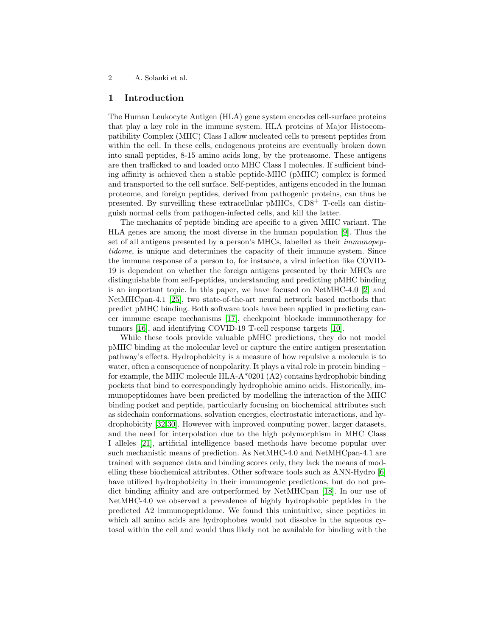## 1 Introduction

The Human Leukocyte Antigen (HLA) gene system encodes cell-surface proteins that play a key role in the immune system. HLA proteins of Major Histocompatibility Complex (MHC) Class I allow nucleated cells to present peptides from within the cell. In these cells, endogenous proteins are eventually broken down into small peptides, 8-15 amino acids long, by the proteasome. These antigens are then trafficked to and loaded onto MHC Class I molecules. If sufficient binding affinity is achieved then a stable peptide-MHC (pMHC) complex is formed and transported to the cell surface. Self-peptides, antigens encoded in the human proteome, and foreign peptides, derived from pathogenic proteins, can thus be presented. By surveilling these extracellular pMHCs, CD8<sup>+</sup> T-cells can distinguish normal cells from pathogen-infected cells, and kill the latter.

The mechanics of peptide binding are specific to a given MHC variant. The HLA genes are among the most diverse in the human population [\[9\]](#page-12-0). Thus the set of all antigens presented by a person's MHCs, labelled as their *immunopep*tidome, is unique and determines the capacity of their immune system. Since the immune response of a person to, for instance, a viral infection like COVID-19 is dependent on whether the foreign antigens presented by their MHCs are distinguishable from self-peptides, understanding and predicting pMHC binding is an important topic. In this paper, we have focused on NetMHC-4.0 [\[2\]](#page-11-0) and NetMHCpan-4.1 [\[25\]](#page-13-0), two state-of-the-art neural network based methods that predict pMHC binding. Both software tools have been applied in predicting cancer immune escape mechanisms [\[17\]](#page-12-1), checkpoint blockade immunotherapy for tumors [\[16\]](#page-12-2), and identifying COVID-19 T-cell response targets [\[10\]](#page-12-3).

While these tools provide valuable pMHC predictions, they do not model pMHC binding at the molecular level or capture the entire antigen presentation pathway's effects. Hydrophobicity is a measure of how repulsive a molecule is to water, often a consequence of nonpolarity. It plays a vital role in protein binding – for example, the MHC molecule  $HLA-A*0201 (A2)$  contains hydrophobic binding pockets that bind to correspondingly hydrophobic amino acids. Historically, immunopeptidomes have been predicted by modelling the interaction of the MHC binding pocket and peptide, particularly focusing on biochemical attributes such as sidechain conformations, solvation energies, electrostatic interactions, and hydrophobicity [\[32,](#page-13-1)[30\]](#page-13-2). However with improved computing power, larger datasets, and the need for interpolation due to the high polymorphism in MHC Class I alleles [\[21\]](#page-13-3), artificial intelligence based methods have become popular over such mechanistic means of prediction. As NetMHC-4.0 and NetMHCpan-4.1 are trained with sequence data and binding scores only, they lack the means of modelling these biochemical attributes. Other software tools such as ANN-Hydro [\[6\]](#page-12-4) have utilized hydrophobicity in their immunogenic predictions, but do not predict binding affinity and are outperformed by NetMHCpan [\[18\]](#page-12-5). In our use of NetMHC-4.0 we observed a prevalence of highly hydrophobic peptides in the predicted A2 immunopeptidome. We found this unintuitive, since peptides in which all amino acids are hydrophobes would not dissolve in the aqueous cytosol within the cell and would thus likely not be available for binding with the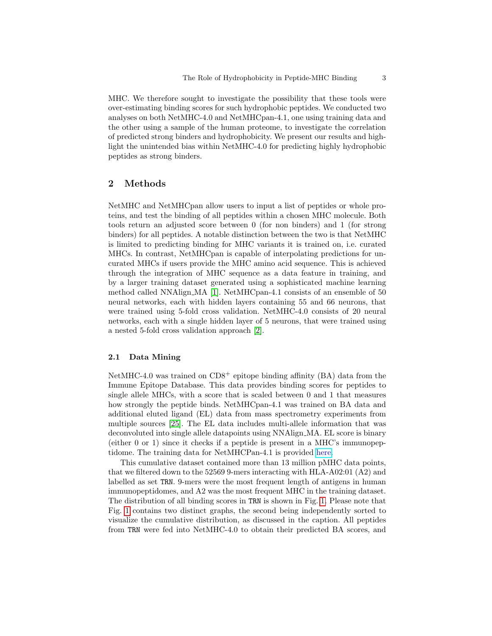MHC. We therefore sought to investigate the possibility that these tools were over-estimating binding scores for such hydrophobic peptides. We conducted two analyses on both NetMHC-4.0 and NetMHCpan-4.1, one using training data and the other using a sample of the human proteome, to investigate the correlation of predicted strong binders and hydrophobicity. We present our results and highlight the unintended bias within NetMHC-4.0 for predicting highly hydrophobic peptides as strong binders.

# 2 Methods

NetMHC and NetMHCpan allow users to input a list of peptides or whole proteins, and test the binding of all peptides within a chosen MHC molecule. Both tools return an adjusted score between 0 (for non binders) and 1 (for strong binders) for all peptides. A notable distinction between the two is that NetMHC is limited to predicting binding for MHC variants it is trained on, i.e. curated MHCs. In contrast, NetMHCpan is capable of interpolating predictions for uncurated MHCs if users provide the MHC amino acid sequence. This is achieved through the integration of MHC sequence as a data feature in training, and by a larger training dataset generated using a sophisticated machine learning method called NNAlign MA [\[1\]](#page-11-1). NetMHCpan-4.1 consists of an ensemble of 50 neural networks, each with hidden layers containing 55 and 66 neurons, that were trained using 5-fold cross validation. NetMHC-4.0 consists of 20 neural networks, each with a single hidden layer of 5 neurons, that were trained using a nested 5-fold cross validation approach [\[2\]](#page-11-0).

## 2.1 Data Mining

NetMHC-4.0 was trained on  $CD8^+$  epitope binding affinity (BA) data from the Immune Epitope Database. This data provides binding scores for peptides to single allele MHCs, with a score that is scaled between 0 and 1 that measures how strongly the peptide binds. NetMHCpan-4.1 was trained on BA data and additional eluted ligand (EL) data from mass spectrometry experiments from multiple sources [\[25\]](#page-13-0). The EL data includes multi-allele information that was deconvoluted into single allele datapoints using NNAlign MA. EL score is binary (either 0 or 1) since it checks if a peptide is present in a MHC's immunopeptidome. The training data for NetMHCPan-4.1 is provided [here.](http://www.cbs.dtu.dk/suppl/immunology/NAR_NetMHCpan_NetMHCIIpan/)

This cumulative dataset contained more than 13 million pMHC data points, that we filtered down to the 52569 9-mers interacting with HLA-A02:01 (A2) and labelled as set TRN. 9-mers were the most frequent length of antigens in human immunopeptidomes, and A2 was the most frequent MHC in the training dataset. The distribution of all binding scores in TRN is shown in Fig. [1.](#page-3-0) Please note that Fig. [1](#page-3-0) contains two distinct graphs, the second being independently sorted to visualize the cumulative distribution, as discussed in the caption. All peptides from TRN were fed into NetMHC-4.0 to obtain their predicted BA scores, and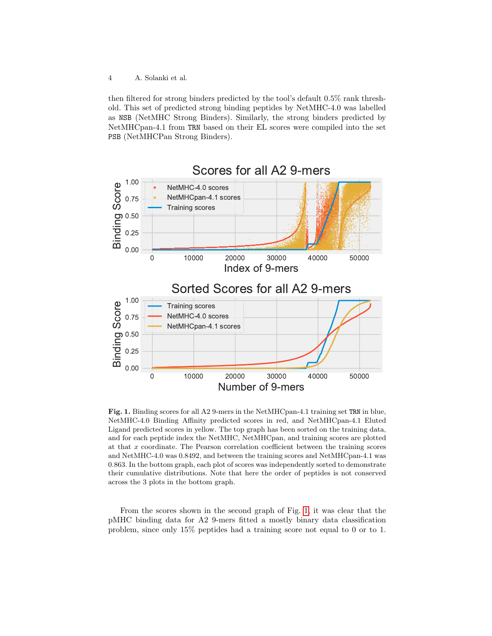then filtered for strong binders predicted by the tool's default 0.5% rank threshold. This set of predicted strong binding peptides by NetMHC-4.0 was labelled as NSB (NetMHC Strong Binders). Similarly, the strong binders predicted by NetMHCpan-4.1 from TRN based on their EL scores were compiled into the set PSB (NetMHCPan Strong Binders).



<span id="page-3-0"></span>Fig. 1. Binding scores for all A2 9-mers in the NetMHCpan-4.1 training set TRN in blue, NetMHC-4.0 Binding Affinity predicted scores in red, and NetMHCpan-4.1 Eluted Ligand predicted scores in yellow. The top graph has been sorted on the training data, and for each peptide index the NetMHC, NetMHCpan, and training scores are plotted at that x coordinate. The Pearson correlation coefficient between the training scores and NetMHC-4.0 was 0.8492, and between the training scores and NetMHCpan-4.1 was 0.863. In the bottom graph, each plot of scores was independently sorted to demonstrate their cumulative distributions. Note that here the order of peptides is not conserved across the 3 plots in the bottom graph.

From the scores shown in the second graph of Fig. [1,](#page-3-0) it was clear that the pMHC binding data for A2 9-mers fitted a mostly binary data classification problem, since only 15% peptides had a training score not equal to 0 or to 1.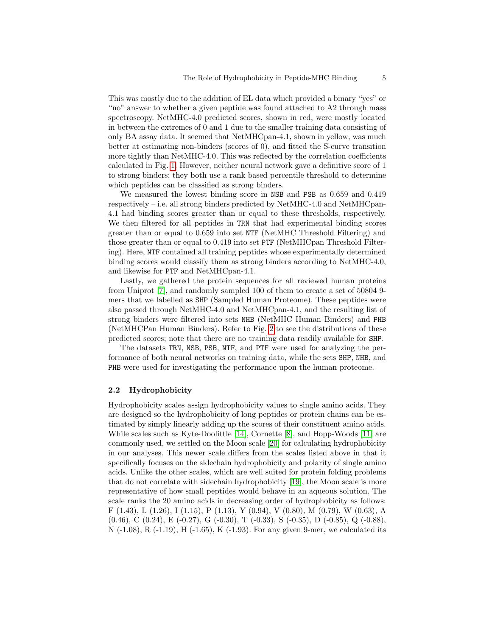This was mostly due to the addition of EL data which provided a binary "yes" or "no" answer to whether a given peptide was found attached to A2 through mass spectroscopy. NetMHC-4.0 predicted scores, shown in red, were mostly located in between the extremes of 0 and 1 due to the smaller training data consisting of only BA assay data. It seemed that NetMHCpan-4.1, shown in yellow, was much better at estimating non-binders (scores of 0), and fitted the S-curve transition more tightly than NetMHC-4.0. This was reflected by the correlation coefficients calculated in Fig. [1.](#page-3-0) However, neither neural network gave a definitive score of 1 to strong binders; they both use a rank based percentile threshold to determine which peptides can be classified as strong binders.

We measured the lowest binding score in NSB and PSB as 0.659 and 0.419 respectively – i.e. all strong binders predicted by NetMHC-4.0 and NetMHCpan-4.1 had binding scores greater than or equal to these thresholds, respectively. We then filtered for all peptides in TRN that had experimental binding scores greater than or equal to 0.659 into set NTF (NetMHC Threshold Filtering) and those greater than or equal to 0.419 into set PTF (NetMHCpan Threshold Filtering). Here, NTF contained all training peptides whose experimentally determined binding scores would classify them as strong binders according to NetMHC-4.0, and likewise for PTF and NetMHCpan-4.1.

Lastly, we gathered the protein sequences for all reviewed human proteins from Uniprot [\[7\]](#page-12-6), and randomly sampled 100 of them to create a set of 50804 9 mers that we labelled as SHP (Sampled Human Proteome). These peptides were also passed through NetMHC-4.0 and NetMHCpan-4.1, and the resulting list of strong binders were filtered into sets NHB (NetMHC Human Binders) and PHB (NetMHCPan Human Binders). Refer to Fig. [2](#page-5-0) to see the distributions of these predicted scores; note that there are no training data readily available for SHP.

The datasets TRN, NSB, PSB, NTF, and PTF were used for analyzing the performance of both neural networks on training data, while the sets SHP, NHB, and PHB were used for investigating the performance upon the human proteome.

#### <span id="page-4-0"></span>2.2 Hydrophobicity

Hydrophobicity scales assign hydrophobicity values to single amino acids. They are designed so the hydrophobicity of long peptides or protein chains can be estimated by simply linearly adding up the scores of their constituent amino acids. While scales such as Kyte-Doolittle  $[14]$ , Cornette  $[8]$ , and Hopp-Woods  $[11]$  are commonly used, we settled on the Moon scale [\[20\]](#page-12-10) for calculating hydrophobicity in our analyses. This newer scale differs from the scales listed above in that it specifically focuses on the sidechain hydrophobicity and polarity of single amino acids. Unlike the other scales, which are well suited for protein folding problems that do not correlate with sidechain hydrophobicity [\[19\]](#page-12-11), the Moon scale is more representative of how small peptides would behave in an aqueous solution. The scale ranks the 20 amino acids in decreasing order of hydrophobicity as follows: F  $(1.43)$ , L  $(1.26)$ , I  $(1.15)$ , P  $(1.13)$ , Y  $(0.94)$ , V  $(0.80)$ , M  $(0.79)$ , W  $(0.63)$ , A (0.46), C (0.24), E (-0.27), G (-0.30), T (-0.33), S (-0.35), D (-0.85), Q (-0.88), N (-1.08), R (-1.19), H (-1.65), K (-1.93). For any given 9-mer, we calculated its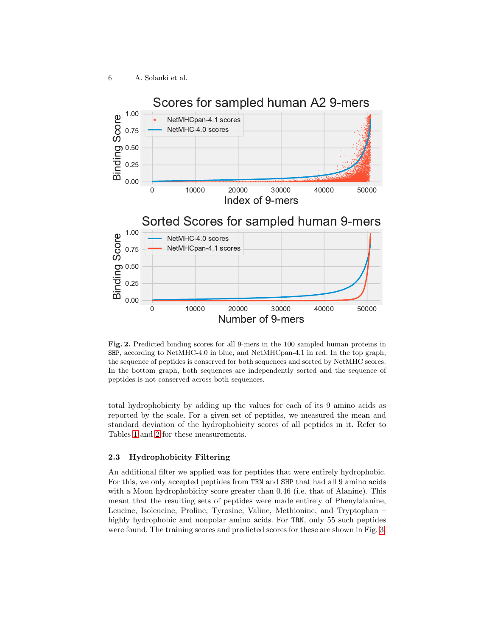

<span id="page-5-0"></span>Fig. 2. Predicted binding scores for all 9-mers in the 100 sampled human proteins in SHP, according to NetMHC-4.0 in blue, and NetMHCpan-4.1 in red. In the top graph, the sequence of peptides is conserved for both sequences and sorted by NetMHC scores. In the bottom graph, both sequences are independently sorted and the sequence of peptides is not conserved across both sequences.

total hydrophobicity by adding up the values for each of its 9 amino acids as reported by the scale. For a given set of peptides, we measured the mean and standard deviation of the hydrophobicity scores of all peptides in it. Refer to Tables [1](#page-6-0) and [2](#page-6-1) for these measurements.

#### 2.3 Hydrophobicity Filtering

An additional filter we applied was for peptides that were entirely hydrophobic. For this, we only accepted peptides from TRN and SHP that had all 9 amino acids with a Moon hydrophobicity score greater than 0.46 (i.e. that of Alanine). This meant that the resulting sets of peptides were made entirely of Phenylalanine, Leucine, Isoleucine, Proline, Tyrosine, Valine, Methionine, and Tryptophan – highly hydrophobic and nonpolar amino acids. For TRN, only 55 such peptides were found. The training scores and predicted scores for these are shown in Fig. [3.](#page-6-2)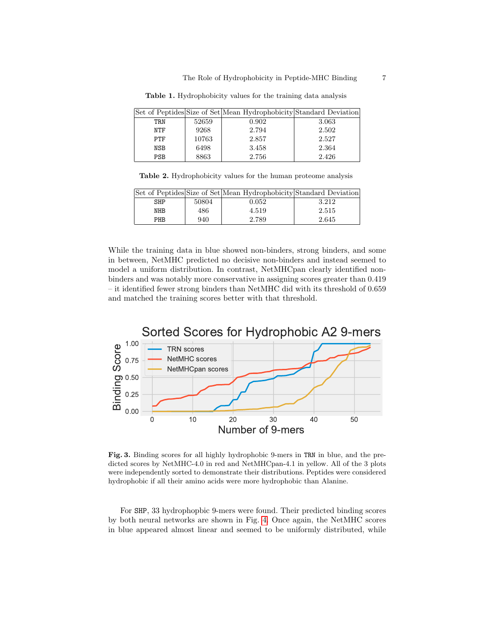Set of Peptides Size of Set Mean Hydrophobicity Standard Deviation TRN | 52659 | 0.902 | 3.063 NTF  $9268$  2.794 2.502 PTF | 10763 | 2.857 | 2.527 NSB  $6498$   $3.458$   $2.364$ PSB  $|8863|$  2.756  $|2.426|$ 

<span id="page-6-0"></span>Table 1. Hydrophobicity values for the training data analysis

<span id="page-6-1"></span>Table 2. Hydrophobicity values for the human proteome analysis

|     |       | Set of Peptides Size of Set Mean Hydrophobicity Standard Deviation |       |
|-----|-------|--------------------------------------------------------------------|-------|
| SHP | 50804 | 0.052                                                              | 3.212 |
| NHB | 486.  | 4.519                                                              | 2.515 |
| PHB | 940   | 2.789                                                              | 2.645 |

While the training data in blue showed non-binders, strong binders, and some in between, NetMHC predicted no decisive non-binders and instead seemed to model a uniform distribution. In contrast, NetMHCpan clearly identified nonbinders and was notably more conservative in assigning scores greater than 0.419 – it identified fewer strong binders than NetMHC did with its threshold of 0.659 and matched the training scores better with that threshold.



<span id="page-6-2"></span>Fig. 3. Binding scores for all highly hydrophobic 9-mers in TRN in blue, and the predicted scores by NetMHC-4.0 in red and NetMHCpan-4.1 in yellow. All of the 3 plots were independently sorted to demonstrate their distributions. Peptides were considered hydrophobic if all their amino acids were more hydrophobic than Alanine.

For SHP, 33 hydrophopbic 9-mers were found. Their predicted binding scores by both neural networks are shown in Fig. [4.](#page-7-0) Once again, the NetMHC scores in blue appeared almost linear and seemed to be uniformly distributed, while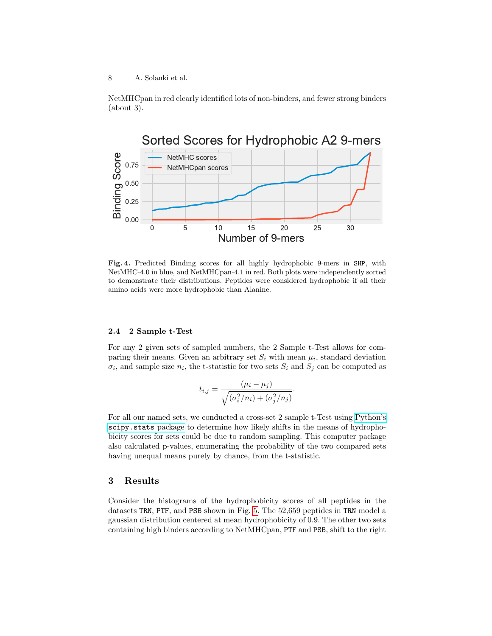NetMHCpan in red clearly identified lots of non-binders, and fewer strong binders (about 3).



<span id="page-7-0"></span>Fig. 4. Predicted Binding scores for all highly hydrophobic 9-mers in SHP, with NetMHC-4.0 in blue, and NetMHCpan-4.1 in red. Both plots were independently sorted to demonstrate their distributions. Peptides were considered hydrophobic if all their amino acids were more hydrophobic than Alanine.

## 2.4 2 Sample t-Test

For any 2 given sets of sampled numbers, the 2 Sample t-Test allows for comparing their means. Given an arbitrary set  $S_i$  with mean  $\mu_i$ , standard deviation  $\sigma_i$ , and sample size  $n_i$ , the t-statistic for two sets  $S_i$  and  $S_j$  can be computed as

$$
t_{i,j} = \frac{(\mu_i - \mu_j)}{\sqrt{(\sigma_i^2/n_i) + (\sigma_j^2/n_j)}}
$$

.

For all our named sets, we conducted a cross-set 2 sample t-Test using [Python's](https://docs.scipy.org/doc/scipy/reference/stats.html) [scipy.stats](https://docs.scipy.org/doc/scipy/reference/stats.html) package to determine how likely shifts in the means of hydrophobicity scores for sets could be due to random sampling. This computer package also calculated p-values, enumerating the probability of the two compared sets having unequal means purely by chance, from the t-statistic.

# <span id="page-7-1"></span>3 Results

Consider the histograms of the hydrophobicity scores of all peptides in the datasets TRN, PTF, and PSB shown in Fig. [5.](#page-8-0) The 52,659 peptides in TRN model a gaussian distribution centered at mean hydrophobicity of 0.9. The other two sets containing high binders according to NetMHCpan, PTF and PSB, shift to the right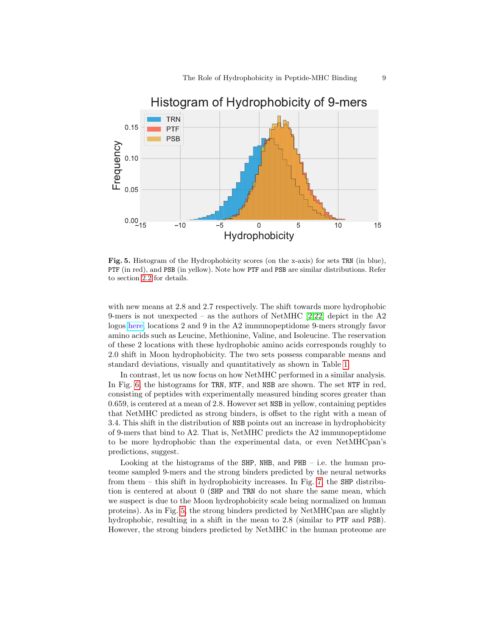

<span id="page-8-0"></span>Fig. 5. Histogram of the Hydrophobicity scores (on the x-axis) for sets TRN (in blue), PTF (in red), and PSB (in yellow). Note how PTF and PSB are similar distributions. Refer to section [2.2](#page-4-0) for details.

with new means at 2.8 and 2.7 respectively. The shift towards more hydrophobic 9-mers is not unexpected – as the authors of NetMHC  $[2.22]$  $[2.22]$  depict in the A2 logos [here,](http://www.cbs.dtu.dk/services/NetMHC/logos.php) locations 2 and 9 in the A2 immunopeptidome 9-mers strongly favor amino acids such as Leucine, Methionine, Valine, and Isoleucine. The reservation of these 2 locations with these hydrophobic amino acids corresponds roughly to 2.0 shift in Moon hydrophobicity. The two sets possess comparable means and standard deviations, visually and quantitatively as shown in Table [1.](#page-6-0)

In contrast, let us now focus on how NetMHC performed in a similar analysis. In Fig. [6,](#page-9-0) the histograms for TRN, NTF, and NSB are shown. The set NTF in red, consisting of peptides with experimentally measured binding scores greater than 0.659, is centered at a mean of 2.8. However set NSB in yellow, containing peptides that NetMHC predicted as strong binders, is offset to the right with a mean of 3.4. This shift in the distribution of NSB points out an increase in hydrophobicity of 9-mers that bind to A2. That is, NetMHC predicts the A2 immunopeptidome to be more hydrophobic than the experimental data, or even NetMHCpan's predictions, suggest.

Looking at the histograms of the SHP, NHB, and  $PHB - i.e.$  the human proteome sampled 9-mers and the strong binders predicted by the neural networks from them – this shift in hydrophobicity increases. In Fig. [7,](#page-10-0) the SHP distribution is centered at about 0 (SHP and TRN do not share the same mean, which we suspect is due to the Moon hydrophobicity scale being normalized on human proteins). As in Fig. [5,](#page-8-0) the strong binders predicted by NetMHCpan are slightly hydrophobic, resulting in a shift in the mean to 2.8 (similar to PTF and PSB). However, the strong binders predicted by NetMHC in the human proteome are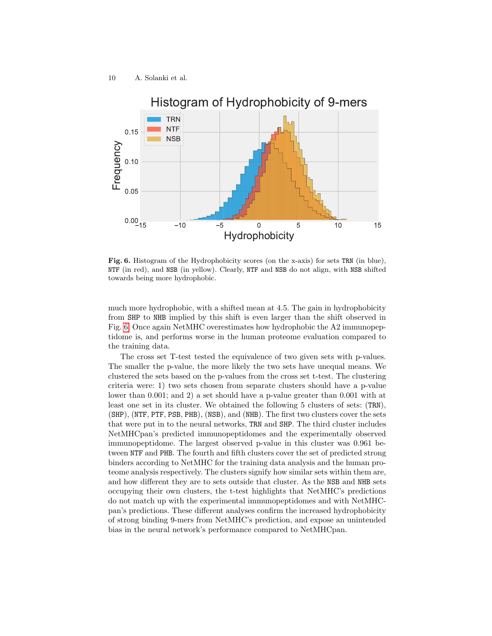

<span id="page-9-0"></span>Fig. 6. Histogram of the Hydrophobicity scores (on the x-axis) for sets TRN (in blue), NTF (in red), and NSB (in yellow). Clearly, NTF and NSB do not align, with NSB shifted towards being more hydrophobic.

much more hydrophobic, with a shifted mean at 4.5. The gain in hydrophobicity from SHP to NHB implied by this shift is even larger than the shift observed in Fig. [6.](#page-9-0) Once again NetMHC overestimates how hydrophobic the A2 immunopeptidome is, and performs worse in the human proteome evaluation compared to the training data.

The cross set T-test tested the equivalence of two given sets with p-values. The smaller the p-value, the more likely the two sets have unequal means. We clustered the sets based on the p-values from the cross set t-test. The clustering criteria were: 1) two sets chosen from separate clusters should have a p-value lower than 0.001; and 2) a set should have a p-value greater than 0.001 with at least one set in its cluster. We obtained the following 5 clusters of sets: (TRN), (SHP), (NTF, PTF, PSB, PHB), (NSB), and (NHB). The first two clusters cover the sets that were put in to the neural networks, TRN and SHP. The third cluster includes NetMHCpan's predicted immunopeptidomes and the experimentally observed immunopeptidome. The largest observed p-value in this cluster was 0.961 between NTF and PHB. The fourth and fifth clusters cover the set of predicted strong binders according to NetMHC for the training data analysis and the human proteome analysis respectively. The clusters signify how similar sets within them are, and how different they are to sets outside that cluster. As the NSB and NHB sets occupying their own clusters, the t-test highlights that NetMHC's predictions do not match up with the experimental immunopeptidomes and with NetMHCpan's predictions. These different analyses confirm the increased hydrophobicity of strong binding 9-mers from NetMHC's prediction, and expose an unintended bias in the neural network's performance compared to NetMHCpan.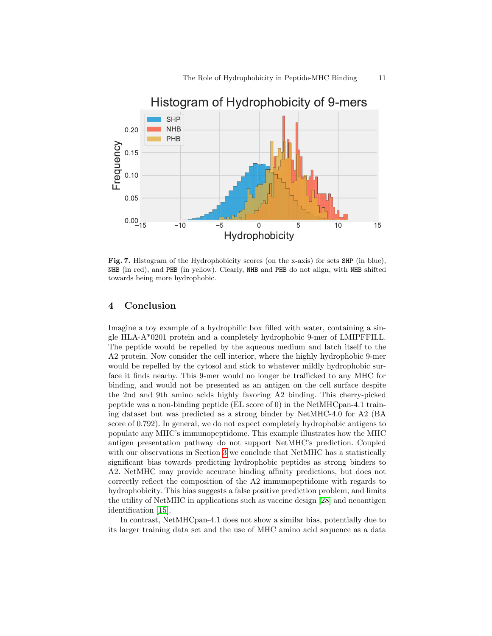

<span id="page-10-0"></span>Fig. 7. Histogram of the Hydrophobicity scores (on the x-axis) for sets SHP (in blue), NHB (in red), and PHB (in yellow). Clearly, NHB and PHB do not align, with NHB shifted towards being more hydrophobic.

# 4 Conclusion

Imagine a toy example of a hydrophilic box filled with water, containing a single HLA-A\*0201 protein and a completely hydrophobic 9-mer of LMIPFFILL. The peptide would be repelled by the aqueous medium and latch itself to the A2 protein. Now consider the cell interior, where the highly hydrophobic 9-mer would be repelled by the cytosol and stick to whatever mildly hydrophobic surface it finds nearby. This 9-mer would no longer be trafficked to any MHC for binding, and would not be presented as an antigen on the cell surface despite the 2nd and 9th amino acids highly favoring A2 binding. This cherry-picked peptide was a non-binding peptide (EL score of 0) in the NetMHCpan-4.1 training dataset but was predicted as a strong binder by NetMHC-4.0 for A2 (BA score of 0.792). In general, we do not expect completely hydrophobic antigens to populate any MHC's immunopeptidome. This example illustrates how the MHC antigen presentation pathway do not support NetMHC's prediction. Coupled with our observations in Section [3](#page-7-1) we conclude that NetMHC has a statistically significant bias towards predicting hydrophobic peptides as strong binders to A2. NetMHC may provide accurate binding affinity predictions, but does not correctly reflect the composition of the A2 immunopeptidome with regards to hydrophobicity. This bias suggests a false positive prediction problem, and limits the utility of NetMHC in applications such as vaccine design [\[28\]](#page-13-5) and neoantigen identification [\[15\]](#page-12-12).

In contrast, NetMHCpan-4.1 does not show a similar bias, potentially due to its larger training data set and the use of MHC amino acid sequence as a data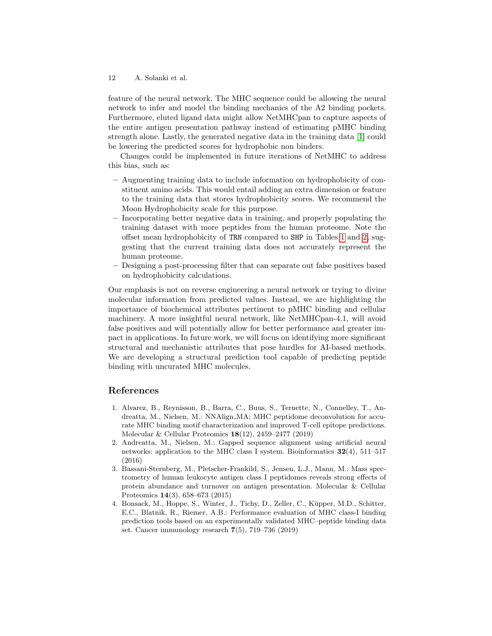feature of the neural network. The MHC sequence could be allowing the neural network to infer and model the binding mechanics of the A2 binding pockets. Furthermore, eluted ligand data might allow NetMHCpan to capture aspects of the entire antigen presentation pathway instead of estimating pMHC binding strength alone. Lastly, the generated negative data in the training data [\[1\]](#page-11-1) could be lowering the predicted scores for hydrophobic non binders.

Changes could be implemented in future iterations of NetMHC to address this bias, such as:

- Augmenting training data to include information on hydrophobicity of constituent amino acids. This would entail adding an extra dimension or feature to the training data that stores hydrophobicity scores. We recommend the Moon Hydrophobicity scale for this purpose.
- Incorporating better negative data in training, and properly populating the training dataset with more peptides from the human proteome. Note the offset mean hydrophobicity of TRN compared to SHP in Tables [1](#page-6-0) and [2,](#page-6-1) suggesting that the current training data does not accurately represent the human proteome.
- Designing a post-processing filter that can separate out false positives based on hydrophobicity calculations.

Our emphasis is not on reverse engineering a neural network or trying to divine molecular information from predicted values. Instead, we are highlighting the importance of biochemical attributes pertinent to pMHC binding and cellular machinery. A more insightful neural network, like NetMHCpan-4.1, will avoid false positives and will potentially allow for better performance and greater impact in applications. In future work, we will focus on identifying more significant structural and mechanistic attributes that pose hurdles for AI-based methods. We are developing a structural prediction tool capable of predicting peptide binding with uncurated MHC molecules.

# References

- <span id="page-11-1"></span>1. Alvarez, B., Reynisson, B., Barra, C., Buus, S., Ternette, N., Connelley, T., Andreatta, M., Nielsen, M.: NNAlign MA; MHC peptidome deconvolution for accurate MHC binding motif characterization and improved T-cell epitope predictions. Molecular & Cellular Proteomics 18(12), 2459–2477 (2019)
- <span id="page-11-0"></span>2. Andreatta, M., Nielsen, M.: Gapped sequence alignment using artificial neural networks: application to the MHC class I system. Bioinformatics  $32(4)$ , 511–517 (2016)
- 3. Bassani-Sternberg, M., Pletscher-Frankild, S., Jensen, L.J., Mann, M.: Mass spectrometry of human leukocyte antigen class I peptidomes reveals strong effects of protein abundance and turnover on antigen presentation. Molecular & Cellular Proteomics 14(3), 658–673 (2015)
- 4. Bonsack, M., Hoppe, S., Winter, J., Tichy, D., Zeller, C., Küpper, M.D., Schitter, E.C., Blatnik, R., Riemer, A.B.: Performance evaluation of MHC class-I binding prediction tools based on an experimentally validated MHC–peptide binding data set. Cancer immunology research  $7(5)$ , 719–736 (2019)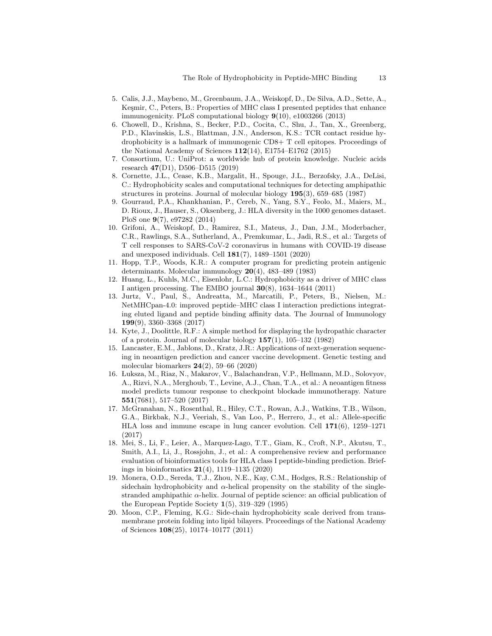- 5. Calis, J.J., Maybeno, M., Greenbaum, J.A., Weiskopf, D., De Silva, A.D., Sette, A., Kesmir, C., Peters, B.: Properties of MHC class I presented peptides that enhance immunogenicity. PLoS computational biology 9(10), e1003266 (2013)
- <span id="page-12-4"></span>6. Chowell, D., Krishna, S., Becker, P.D., Cocita, C., Shu, J., Tan, X., Greenberg, P.D., Klavinskis, L.S., Blattman, J.N., Anderson, K.S.: TCR contact residue hydrophobicity is a hallmark of immunogenic CD8+ T cell epitopes. Proceedings of the National Academy of Sciences  $112(14)$ , E1754–E1762 (2015)
- <span id="page-12-6"></span>7. Consortium, U.: UniProt: a worldwide hub of protein knowledge. Nucleic acids research 47(D1), D506–D515 (2019)
- <span id="page-12-8"></span>8. Cornette, J.L., Cease, K.B., Margalit, H., Spouge, J.L., Berzofsky, J.A., DeLisi, C.: Hydrophobicity scales and computational techniques for detecting amphipathic structures in proteins. Journal of molecular biology 195(3), 659–685 (1987)
- <span id="page-12-0"></span>9. Gourraud, P.A., Khankhanian, P., Cereb, N., Yang, S.Y., Feolo, M., Maiers, M., D. Rioux, J., Hauser, S., Oksenberg, J.: HLA diversity in the 1000 genomes dataset. PloS one 9(7), e97282 (2014)
- <span id="page-12-3"></span>10. Grifoni, A., Weiskopf, D., Ramirez, S.I., Mateus, J., Dan, J.M., Moderbacher, C.R., Rawlings, S.A., Sutherland, A., Premkumar, L., Jadi, R.S., et al.: Targets of T cell responses to SARS-CoV-2 coronavirus in humans with COVID-19 disease and unexposed individuals. Cell 181(7), 1489–1501 (2020)
- <span id="page-12-9"></span>11. Hopp, T.P., Woods, K.R.: A computer program for predicting protein antigenic determinants. Molecular immunology 20(4), 483–489 (1983)
- 12. Huang, L., Kuhls, M.C., Eisenlohr, L.C.: Hydrophobicity as a driver of MHC class I antigen processing. The EMBO journal  $30(8)$ , 1634–1644 (2011)
- 13. Jurtz, V., Paul, S., Andreatta, M., Marcatili, P., Peters, B., Nielsen, M.: NetMHCpan-4.0: improved peptide–MHC class I interaction predictions integrating eluted ligand and peptide binding affinity data. The Journal of Immunology 199(9), 3360–3368 (2017)
- <span id="page-12-7"></span>14. Kyte, J., Doolittle, R.F.: A simple method for displaying the hydropathic character of a protein. Journal of molecular biology 157(1), 105–132 (1982)
- <span id="page-12-12"></span>15. Lancaster, E.M., Jablons, D., Kratz, J.R.: Applications of next-generation sequencing in neoantigen prediction and cancer vaccine development. Genetic testing and molecular biomarkers 24(2), 59–66 (2020)
- <span id="page-12-2"></span>16. Luksza, M., Riaz, N., Makarov, V., Balachandran, V.P., Hellmann, M.D., Solovyov, A., Rizvi, N.A., Merghoub, T., Levine, A.J., Chan, T.A., et al.: A neoantigen fitness model predicts tumour response to checkpoint blockade immunotherapy. Nature 551(7681), 517–520 (2017)
- <span id="page-12-1"></span>17. McGranahan, N., Rosenthal, R., Hiley, C.T., Rowan, A.J., Watkins, T.B., Wilson, G.A., Birkbak, N.J., Veeriah, S., Van Loo, P., Herrero, J., et al.: Allele-specific HLA loss and immune escape in lung cancer evolution. Cell 171(6), 1259–1271 (2017)
- <span id="page-12-5"></span>18. Mei, S., Li, F., Leier, A., Marquez-Lago, T.T., Giam, K., Croft, N.P., Akutsu, T., Smith, A.I., Li, J., Rossjohn, J., et al.: A comprehensive review and performance evaluation of bioinformatics tools for HLA class I peptide-binding prediction. Briefings in bioinformatics  $21(4)$ , 1119–1135 (2020)
- <span id="page-12-11"></span>19. Monera, O.D., Sereda, T.J., Zhou, N.E., Kay, C.M., Hodges, R.S.: Relationship of sidechain hydrophobicity and  $\alpha$ -helical propensity on the stability of the singlestranded amphipathic  $\alpha$ -helix. Journal of peptide science: an official publication of the European Peptide Society  $1(5)$ , 319–329 (1995)
- <span id="page-12-10"></span>20. Moon, C.P., Fleming, K.G.: Side-chain hydrophobicity scale derived from transmembrane protein folding into lipid bilayers. Proceedings of the National Academy of Sciences 108(25), 10174–10177 (2011)